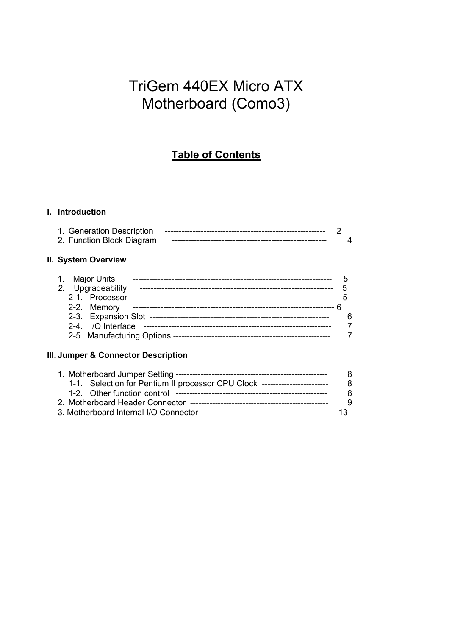# TriGem 440EX Micro ATX Motherboard (Como3)

# **Table of Contents**

# **I. Introduction**

| 1. Generation Description |  |
|---------------------------|--|
| 2. Function Block Diagram |  |

#### **II. System Overview**

|  | 1. Major Units     |  |
|--|--------------------|--|
|  | 2. Upgradeability  |  |
|  | 2-1. Processor     |  |
|  | 2-2. Memory        |  |
|  |                    |  |
|  | 2-4. I/O Interface |  |
|  |                    |  |

## **III. Jumper & Connector Description**

|  |                                                                            | -8  |
|--|----------------------------------------------------------------------------|-----|
|  | 1-1. Selection for Pentium II processor CPU Clock ------------------------ | -8  |
|  |                                                                            | -8  |
|  |                                                                            | - 9 |
|  |                                                                            |     |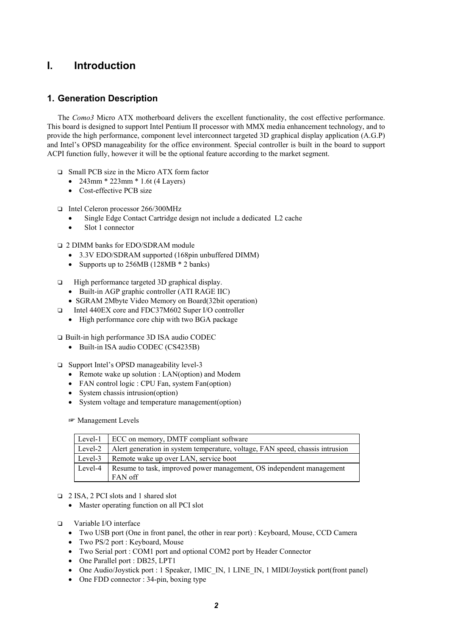# **I. Introduction**

## **1. Generation Description**

The *Como3* Micro ATX motherboard delivers the excellent functionality, the cost effective performance. This board is designed to support Intel Pentium II processor with MMX media enhancement technology, and to provide the high performance, component level interconnect targeted 3D graphical display application (A.G.P) and Intel's OPSD manageability for the office environment. Special controller is built in the board to support ACPI function fully, however it will be the optional feature according to the market segment.

- $\Box$  Small PCB size in the Micro ATX form factor
	- 243mm  $*$  223mm  $*$  1.6t (4 Layers)
	- Cost-effective PCB size

□ Intel Celeron processor 266/300MHz

- Single Edge Contact Cartridge design not include a dedicated L2 cache
- Slot 1 connector
- □ 2 DIMM banks for EDO/SDRAM module
	- 3.3V EDO/SDRAM supported (168pin unbuffered DIMM)
	- Supports up to 256MB (128MB  $*$  2 banks)
- $\Box$  High performance targeted 3D graphical display.
	- Built-in AGP graphic controller (ATI RAGE IIC)
	- SGRAM 2Mbyte Video Memory on Board(32bit operation)
- □ Intel 440EX core and FDC37M602 Super I/O controller
	- High performance core chip with two BGA package
- T Built-in high performance 3D ISA audio CODEC
	- Built-in ISA audio CODEC (CS4235B)
- □ Support Intel's OPSD manageability level-3
	- Remote wake up solution : LAN(option) and Modem
	- FAN control logic : CPU Fan, system Fan(option)
	- System chassis intrusion(option)
	- System voltage and temperature management(option)

**Management Levels** 

| Level-1 | ECC on memory, DMTF compliant software                                        |
|---------|-------------------------------------------------------------------------------|
| Level-2 | Alert generation in system temperature, voltage, FAN speed, chassis intrusion |
| Level-3 | Remote wake up over LAN, service boot                                         |
| Level-4 | Resume to task, improved power management, OS independent management          |
|         | FAN off                                                                       |

#### □ 2 ISA, 2 PCI slots and 1 shared slot

- Master operating function on all PCI slot
- $\square$  Variable I/O interface
	- Two USB port (One in front panel, the other in rear port) : Keyboard, Mouse, CCD Camera
	- Two PS/2 port : Keyboard, Mouse
	- Two Serial port : COM1 port and optional COM2 port by Header Connector
	- One Parallel port : DB25, LPT1
	- One Audio/Joystick port : 1 Speaker, 1MIC\_IN, 1 LINE\_IN, 1 MIDI/Joystick port(front panel)
	- One FDD connector : 34-pin, boxing type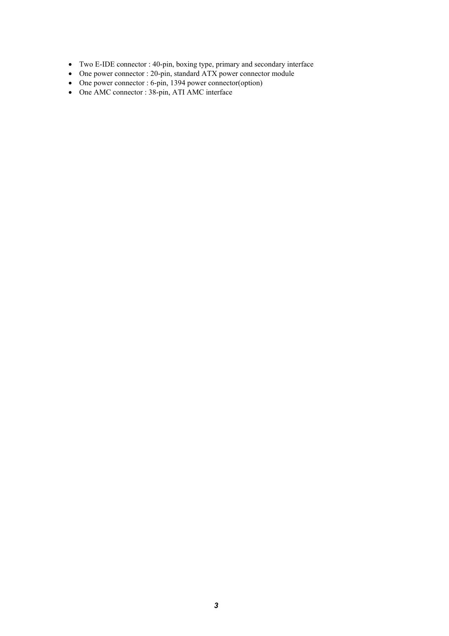- Two E-IDE connector : 40-pin, boxing type, primary and secondary interface
- One power connector : 20-pin, standard ATX power connector module
- One power connector : 6-pin, 1394 power connector(option)
- One AMC connector : 38-pin, ATI AMC interface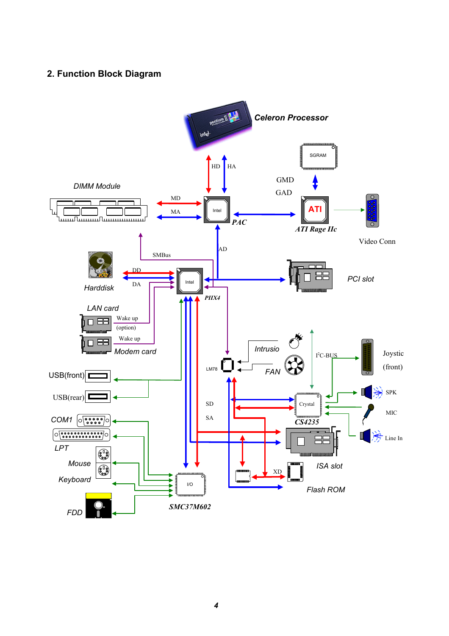# **2. Function Block Diagram**

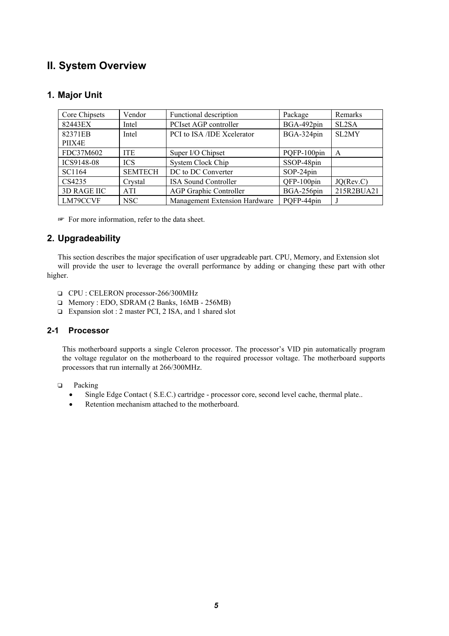# **II. System Overview**

## **1. Major Unit**

| Core Chipsets      | Vendor         | Functional description        | Package     | Remarks    |
|--------------------|----------------|-------------------------------|-------------|------------|
| 82443EX            | Intel          | PCIset AGP controller         | BGA-492pin  | SL2SA      |
| 82371EB            | Intel          | PCI to ISA /IDE Xcelerator    | BGA-324pin  | SL2MY      |
| PIIX4E             |                |                               |             |            |
| FDC37M602          | <b>ITE</b>     | Super I/O Chipset             | PQFP-100pin | A          |
| ICS9148-08         | <b>ICS</b>     | System Clock Chip             | SSOP-48pin  |            |
| SC1164             | <b>SEMTECH</b> | DC to DC Converter            | SOP-24pin   |            |
| CS4235             | Crystal        | <b>ISA Sound Controller</b>   | QFP-100pin  | JO(Rev.C)  |
| <b>3D RAGE IIC</b> | <b>ATI</b>     | <b>AGP Graphic Controller</b> | BGA-256pin  | 215R2BUA21 |
| LM79CCVF           | NSC            | Management Extension Hardware | POFP-44pin  |            |

For more information, refer to the data sheet.

#### **2. Upgradeability**

This section describes the major specification of user upgradeable part. CPU, Memory, and Extension slot will provide the user to leverage the overall performance by adding or changing these part with other higher.

- $\Box$  CPU : CELERON processor-266/300MHz
- T Memory : EDO, SDRAM (2 Banks, 16MB 256MB)
- □ Expansion slot : 2 master PCI, 2 ISA, and 1 shared slot

#### **2-1 Processor**

This motherboard supports a single Celeron processor. The processor's VID pin automatically program the voltage regulator on the motherboard to the required processor voltage. The motherboard supports processors that run internally at 266/300MHz.

- $\Box$  Packing
	- Single Edge Contact ( S.E.C.) cartridge processor core, second level cache, thermal plate..
	- Retention mechanism attached to the motherboard.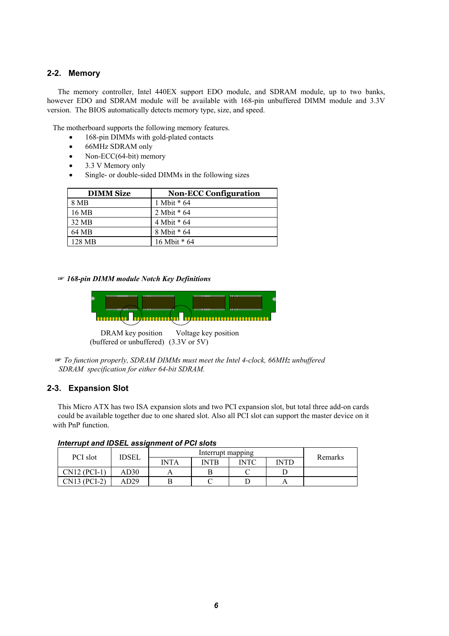#### **2-2. Memory**

The memory controller, Intel 440EX support EDO module, and SDRAM module, up to two banks, however EDO and SDRAM module will be available with 168-pin unbuffered DIMM module and 3.3V version. The BIOS automatically detects memory type, size, and speed.

The motherboard supports the following memory features.

- 168-pin DIMMs with gold-plated contacts
- 66MHz SDRAM only
- Non-ECC(64-bit) memory
- 3.3 V Memory only
- Single- or double-sided DIMMs in the following sizes

| <b>DIMM Size</b> | <b>Non-ECC Configuration</b> |
|------------------|------------------------------|
| 8 MB             | 1 Mbit * 64                  |
| 16 MB            | 2 Mbit * 64                  |
| 32 MB            | 4 Mbit * 64                  |
| 64 MB            | 8 Mbit * 64                  |
| 128 MB           | 16 Mbit * 64                 |

 *168-pin DIMM module Notch Key Definitions*



DRAM key position Voltage key position (buffered or unbuffered) (3.3V or 5V)

 *To function properly, SDRAM DIMMs must meet the Intel 4-clock, 66MHz unbuffered SDRAM specification for either 64-bit SDRAM.*

#### **2-3. Expansion Slot**

This Micro ATX has two ISA expansion slots and two PCI expansion slot, but total three add-on cards could be available together due to one shared slot. Also all PCI slot can support the master device on it with PnP function.

| PCI slot     | <b>IDSEL</b> |             | Interrupt mapping |             |             | Remarks |
|--------------|--------------|-------------|-------------------|-------------|-------------|---------|
|              |              | <b>INTA</b> | <b>INTR</b>       | <b>INTC</b> | <b>INTD</b> |         |
| CN12 (PCI-1) | AD30         |             |                   |             |             |         |
| CN13 (PCI-2) | AD29         |             |                   |             |             |         |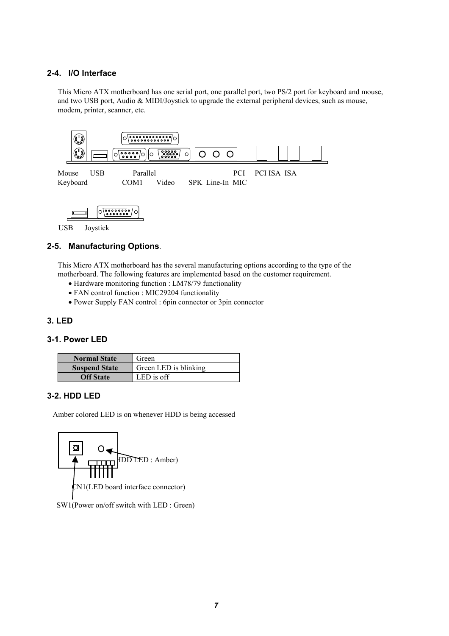#### **2-4. I/O Interface**

This Micro ATX motherboard has one serial port, one parallel port, two PS/2 port for keyboard and mouse, and two USB port, Audio & MIDI/Joystick to upgrade the external peripheral devices, such as mouse, modem, printer, scanner, etc.



#### USB Joystick

#### **2-5. Manufacturing Options**.

This Micro ATX motherboard has the several manufacturing options according to the type of the motherboard. The following features are implemented based on the customer requirement.

- Hardware monitoring function : LM78/79 functionality
- FAN control function : MIC29204 functionality
- Power Supply FAN control : 6pin connector or 3pin connector

#### **3. LED**

#### **3-1. Power LED**

| <b>Normal State</b>  | Green                 |
|----------------------|-----------------------|
| <b>Suspend State</b> | Green LED is blinking |
| <b>Off State</b>     | LED is off            |

#### **3-2. HDD LED**

Amber colored LED is on whenever HDD is being accessed



SW1(Power on/off switch with LED : Green)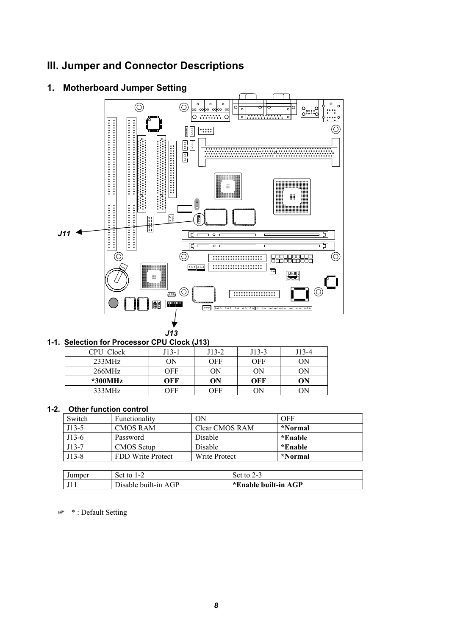# **III. Jumper and Connector Descriptions**



# **1. Motherboard Jumper Setting**

| 1-1. Selection for Processor CPU Clock (J13) |  |
|----------------------------------------------|--|
|                                              |  |

| CPU Clock | J13-1 | $J13-2$ | $J13-3$ | J13-4 |
|-----------|-------|---------|---------|-------|
| 233MHz    | OΝ    | OFF     | OFF     | OΝ    |
| 266MHz    | OFF   | ΟN      | OΝ      | OΝ    |
| *300MHz   | OFF   | ON      | OFF     | ON    |
| 333MHz    | OFF   | OFF     | OΝ      | ОN    |

#### **1-2. Other function control**

| Switch  | Functionality     | ОN             | OFF     |
|---------|-------------------|----------------|---------|
| J13-5   | <b>CMOS RAM</b>   | Clear CMOS RAM | *Normal |
| $J13-6$ | Password          | Disable        | *Enable |
| J13-7   | CMOS Setup        | <b>Disable</b> | *Enable |
| $J13-8$ | FDD Write Protect | Write Protect  | *Normal |

| Jumper | Set to 1-2           | Set to               |
|--------|----------------------|----------------------|
|        | Disable built-in AGP | *Enable built-in AGP |

\* : Default Setting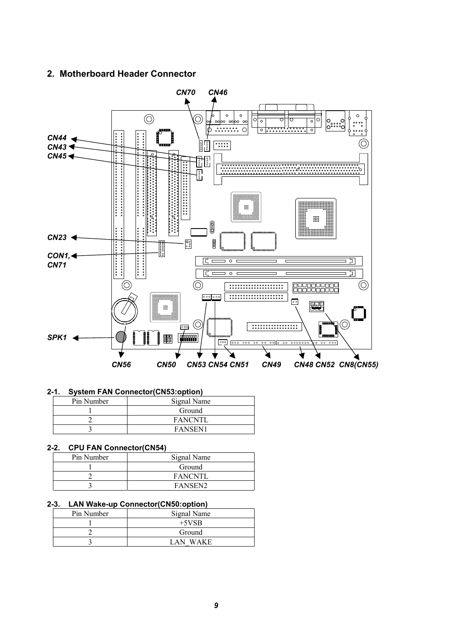#### **2. Motherboard Header Connector**



#### **2-1. System FAN Connector(CN53:option)**

| Pin Number | Signal Name    |
|------------|----------------|
|            | Ground         |
|            | <b>FANCNTL</b> |
|            | <b>FANSEN1</b> |

#### **2-2. CPU FAN Connector(CN54)**

| Pin Number | Signal Name    |
|------------|----------------|
|            | Ground         |
|            | <b>FANCNTL</b> |
|            | <b>FANSEN2</b> |

#### **2-3. LAN Wake-up Connector(CN50:option)**

| Pin Number | Signal Name |
|------------|-------------|
|            | $+5VSB$     |
|            | Ground      |
|            | LAN WAKE    |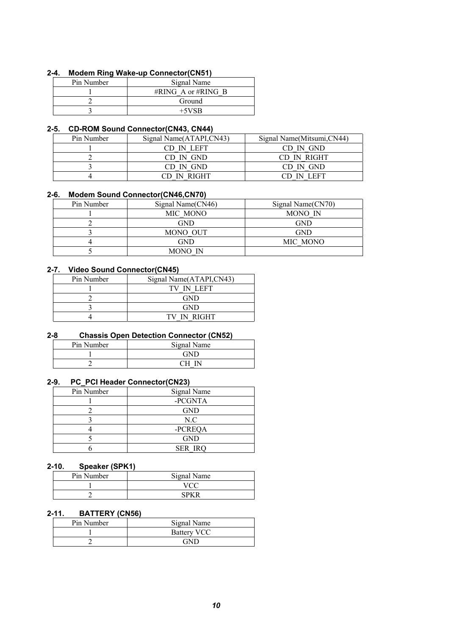#### **2-4. Modem Ring Wake-up Connector(CN51)**

| Pin Number | Signal Name        |
|------------|--------------------|
|            | #RING A or #RING B |
|            | Ground             |
|            | $+5VSB$            |

#### **2-5. CD-ROM Sound Connector(CN43, CN44)**

| Pin Number | Signal Name(ATAPI,CN43) | Signal Name(Mitsumi, CN44) |
|------------|-------------------------|----------------------------|
|            | CD IN LEFT              | CD IN GND                  |
|            | CD IN GND               | CD IN RIGHT                |
|            | CD IN GND               | CD IN GND                  |
|            | CD IN RIGHT             | CD IN LEFT                 |

#### **2-6. Modem Sound Connector(CN46,CN70)**

| Pin Number | Signal Name(CN46) | Signal Name(CN70) |
|------------|-------------------|-------------------|
|            | MIC MONO          | MONO IN           |
|            | GND               | GND               |
|            | MONO OUT          | GND               |
|            | GND               | MIC MONO          |
|            | MONO IN           |                   |

#### **2-7. Video Sound Connector(CN45)**

| Pin Number | Signal Name(ATAPI,CN43) |
|------------|-------------------------|
|            | TV IN LEFT              |
|            | GND                     |
|            | <b>GND</b>              |
|            | TV IN RIGHT             |

#### **2-8 Chassis Open Detection Connector (CN52)**

| Pin Number | Signal Name |
|------------|-------------|
|            |             |
|            |             |

#### **2-9. PC\_PCI Header Connector(CN23)**

| Pin Number | Signal Name    |
|------------|----------------|
|            | -PCGNTA        |
|            | <b>GND</b>     |
|            | N.C            |
|            | -PCREQA        |
|            | <b>GND</b>     |
|            | <b>SER IRQ</b> |

#### **2-10. Speaker (SPK1)**

| Pin Number | Signal Name |
|------------|-------------|
|            |             |
|            |             |

#### **2-11. BATTERY (CN56)**

| Pin Number | Signal Name        |
|------------|--------------------|
|            | <b>Battery VCC</b> |
|            | GND                |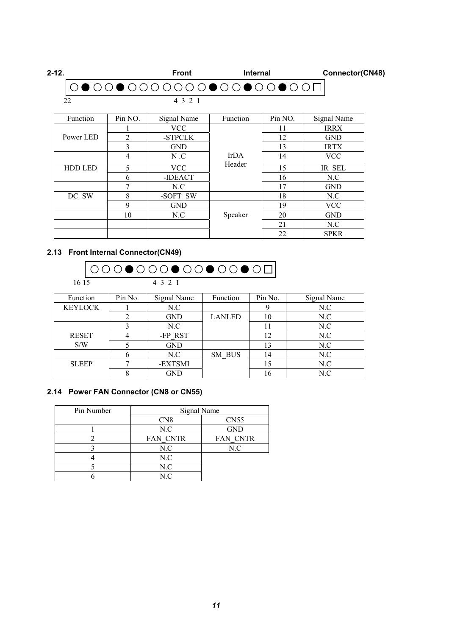| 2-12. | <b>Front</b>           | <b>Internal</b> | Connector(CN48) |
|-------|------------------------|-----------------|-----------------|
|       | 0●00●0000000●00●00●000 |                 |                 |
|       |                        |                 |                 |

| Function       | Pin NO.      | Signal Name | Function    | Pin NO. | Signal Name |
|----------------|--------------|-------------|-------------|---------|-------------|
|                |              | <b>VCC</b>  |             | 11      | <b>IRRX</b> |
| Power LED      | 2<br>-STPCLK |             |             | 12      | <b>GND</b>  |
|                | 3            | <b>GND</b>  |             | 13      | <b>IRTX</b> |
|                | 4            | N.C         | <b>IrDA</b> | 14      | <b>VCC</b>  |
| <b>HDD LED</b> | 5            | <b>VCC</b>  | Header      | 15      | IR SEL      |
|                | 6            | -IDEACT     |             | 16      | N.C         |
|                | 7            | N.C         |             | 17      | <b>GND</b>  |
| DC SW          | 8            | -SOFT SW    |             | 18      | N.C         |
|                | 9            | <b>GND</b>  |             | 19      | <b>VCC</b>  |
|                | 10           | N.C         | Speaker     | 20      | <b>GND</b>  |
|                |              |             |             | 21      | N.C         |
|                |              |             |             | 22      | <b>SPKR</b> |

## **2.13 Front Internal Connector(CN49)**



| Function       | Pin No. | Signal Name | Function      | Pin No. | Signal Name |
|----------------|---------|-------------|---------------|---------|-------------|
| <b>KEYLOCK</b> |         | N.C         |               |         | N.C         |
|                |         | <b>GND</b>  | <b>LANLED</b> | 10      | N.C         |
|                |         | N.C         |               |         | N.C         |
| <b>RESET</b>   |         | -FP RST     |               | 12      | N.C         |
| S/W            |         | <b>GND</b>  |               | 13      | N.C         |
|                |         | N.C         | SM BUS        | 14      | N.C         |
| <b>SLEEP</b>   |         | -EXTSMI     |               | 15      | N.C         |
|                |         | GND         |               | 16      | N.C         |

#### **2.14 Power FAN Connector (CN8 or CN55)**

| Pin Number | Signal Name     |                  |  |
|------------|-----------------|------------------|--|
|            | CN <sub>8</sub> | CN <sub>55</sub> |  |
|            | N.C             | <b>GND</b>       |  |
|            | FAN CNTR        | FAN CNTR         |  |
|            | N.C             | N.C              |  |
|            | N.C             |                  |  |
|            | N.C             |                  |  |
|            | N.C             |                  |  |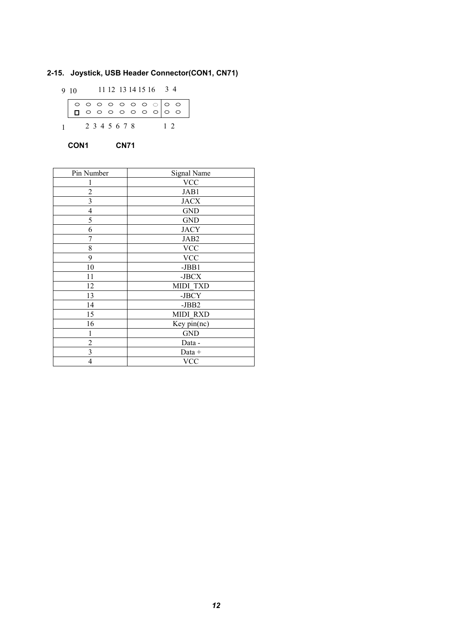#### **2-15. Joystick, USB Header Connector(CON1, CN71)**

9 10 11 12 13 14 15 16 3 4 1 2 3 4 5 6 7 8 1 2

 **CON1 CN71**

| Pin Number     | Signal Name     |
|----------------|-----------------|
|                | <b>VCC</b>      |
| $\overline{c}$ | JAB1            |
| 3              | <b>JACX</b>     |
| 4              | <b>GND</b>      |
| 5              | <b>GND</b>      |
| 6              | <b>JACY</b>     |
| 7              | JAB2            |
| 8              | <b>VCC</b>      |
| 9              | <b>VCC</b>      |
| 10             | $-JBB1$         |
| 11             | -JBCX           |
| 12             | MIDI TXD        |
| 13             | -JBCY           |
| 14             | -JBB2           |
| 15             | <b>MIDI RXD</b> |
| 16             | Key $pin(nc)$   |
| 1              | <b>GND</b>      |
| 2              | Data -          |
| 3              | Data +          |
| 4              | <b>VCC</b>      |